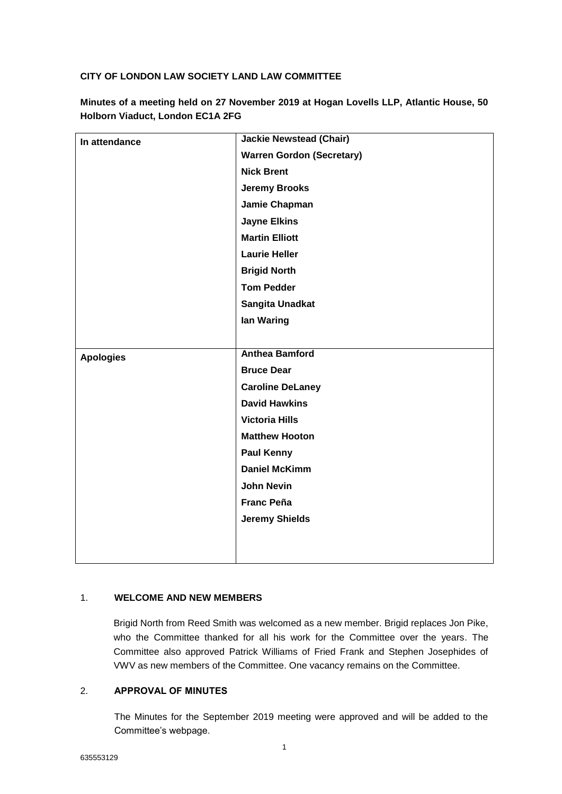# **CITY OF LONDON LAW SOCIETY LAND LAW COMMITTEE**

| In attendance    | <b>Jackie Newstead (Chair)</b>   |
|------------------|----------------------------------|
|                  | <b>Warren Gordon (Secretary)</b> |
|                  | <b>Nick Brent</b>                |
|                  | <b>Jeremy Brooks</b>             |
|                  | Jamie Chapman                    |
|                  | <b>Jayne Elkins</b>              |
|                  | <b>Martin Elliott</b>            |
|                  | <b>Laurie Heller</b>             |
|                  | <b>Brigid North</b>              |
|                  | <b>Tom Pedder</b>                |
|                  | Sangita Unadkat                  |
|                  | lan Waring                       |
|                  |                                  |
| <b>Apologies</b> | <b>Anthea Bamford</b>            |
|                  | <b>Bruce Dear</b>                |
|                  | <b>Caroline DeLaney</b>          |
|                  | <b>David Hawkins</b>             |
|                  | <b>Victoria Hills</b>            |
|                  | <b>Matthew Hooton</b>            |
|                  | <b>Paul Kenny</b>                |
|                  | <b>Daniel McKimm</b>             |
|                  | <b>John Nevin</b>                |
|                  | <b>Franc Peña</b>                |
|                  | <b>Jeremy Shields</b>            |
|                  |                                  |
|                  |                                  |

**Minutes of a meeting held on 27 November 2019 at Hogan Lovells LLP, Atlantic House, 50 Holborn Viaduct, London EC1A 2FG**

# 1. **WELCOME AND NEW MEMBERS**

Brigid North from Reed Smith was welcomed as a new member. Brigid replaces Jon Pike, who the Committee thanked for all his work for the Committee over the years. The Committee also approved Patrick Williams of Fried Frank and Stephen Josephides of VWV as new members of the Committee. One vacancy remains on the Committee.

## 2. **APPROVAL OF MINUTES**

The Minutes for the September 2019 meeting were approved and will be added to the Committee's webpage.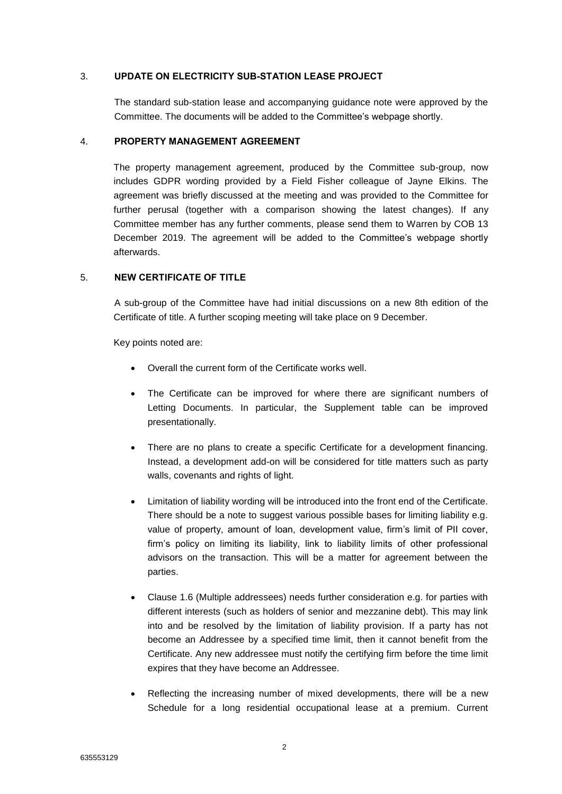## 3. **UPDATE ON ELECTRICITY SUB-STATION LEASE PROJECT**

The standard sub-station lease and accompanying guidance note were approved by the Committee. The documents will be added to the Committee's webpage shortly.

#### 4. **PROPERTY MANAGEMENT AGREEMENT**

The property management agreement, produced by the Committee sub-group, now includes GDPR wording provided by a Field Fisher colleague of Jayne Elkins. The agreement was briefly discussed at the meeting and was provided to the Committee for further perusal (together with a comparison showing the latest changes). If any Committee member has any further comments, please send them to Warren by COB 13 December 2019. The agreement will be added to the Committee's webpage shortly afterwards.

# 5. **NEW CERTIFICATE OF TITLE**

A sub-group of the Committee have had initial discussions on a new 8th edition of the Certificate of title. A further scoping meeting will take place on 9 December.

Key points noted are:

- Overall the current form of the Certificate works well.
- The Certificate can be improved for where there are significant numbers of Letting Documents. In particular, the Supplement table can be improved presentationally.
- There are no plans to create a specific Certificate for a development financing. Instead, a development add-on will be considered for title matters such as party walls, covenants and rights of light.
- Limitation of liability wording will be introduced into the front end of the Certificate. There should be a note to suggest various possible bases for limiting liability e.g. value of property, amount of loan, development value, firm's limit of PII cover, firm's policy on limiting its liability, link to liability limits of other professional advisors on the transaction. This will be a matter for agreement between the parties.
- Clause 1.6 (Multiple addressees) needs further consideration e.g. for parties with different interests (such as holders of senior and mezzanine debt). This may link into and be resolved by the limitation of liability provision. If a party has not become an Addressee by a specified time limit, then it cannot benefit from the Certificate. Any new addressee must notify the certifying firm before the time limit expires that they have become an Addressee.
- Reflecting the increasing number of mixed developments, there will be a new Schedule for a long residential occupational lease at a premium. Current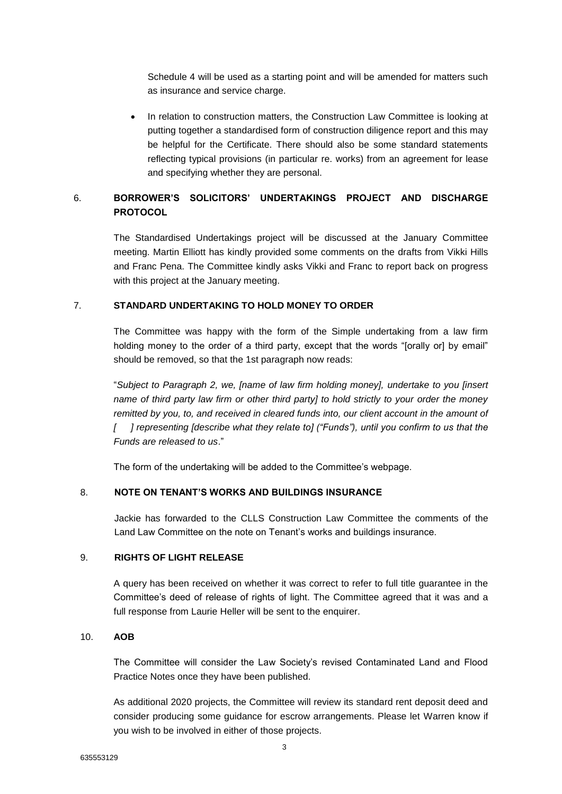Schedule 4 will be used as a starting point and will be amended for matters such as insurance and service charge.

• In relation to construction matters, the Construction Law Committee is looking at putting together a standardised form of construction diligence report and this may be helpful for the Certificate. There should also be some standard statements reflecting typical provisions (in particular re. works) from an agreement for lease and specifying whether they are personal.

# 6. **BORROWER'S SOLICITORS' UNDERTAKINGS PROJECT AND DISCHARGE PROTOCOL**

The Standardised Undertakings project will be discussed at the January Committee meeting. Martin Elliott has kindly provided some comments on the drafts from Vikki Hills and Franc Pena. The Committee kindly asks Vikki and Franc to report back on progress with this project at the January meeting.

### 7. **STANDARD UNDERTAKING TO HOLD MONEY TO ORDER**

The Committee was happy with the form of the Simple undertaking from a law firm holding money to the order of a third party, except that the words "[orally or] by email" should be removed, so that the 1st paragraph now reads:

"*Subject to Paragraph 2, we, [name of law firm holding money], undertake to you [insert name of third party law firm or other third party] to hold strictly to your order the money*  remitted by you, to, and received in cleared funds into, our client account in the amount of *[ ] representing [describe what they relate to] ("Funds"), until you confirm to us that the Funds are released to us*."

The form of the undertaking will be added to the Committee's webpage.

## 8. **NOTE ON TENANT'S WORKS AND BUILDINGS INSURANCE**

Jackie has forwarded to the CLLS Construction Law Committee the comments of the Land Law Committee on the note on Tenant's works and buildings insurance.

### 9. **RIGHTS OF LIGHT RELEASE**

A query has been received on whether it was correct to refer to full title guarantee in the Committee's deed of release of rights of light. The Committee agreed that it was and a full response from Laurie Heller will be sent to the enquirer.

## 10. **AOB**

The Committee will consider the Law Society's revised Contaminated Land and Flood Practice Notes once they have been published.

As additional 2020 projects, the Committee will review its standard rent deposit deed and consider producing some guidance for escrow arrangements. Please let Warren know if you wish to be involved in either of those projects.